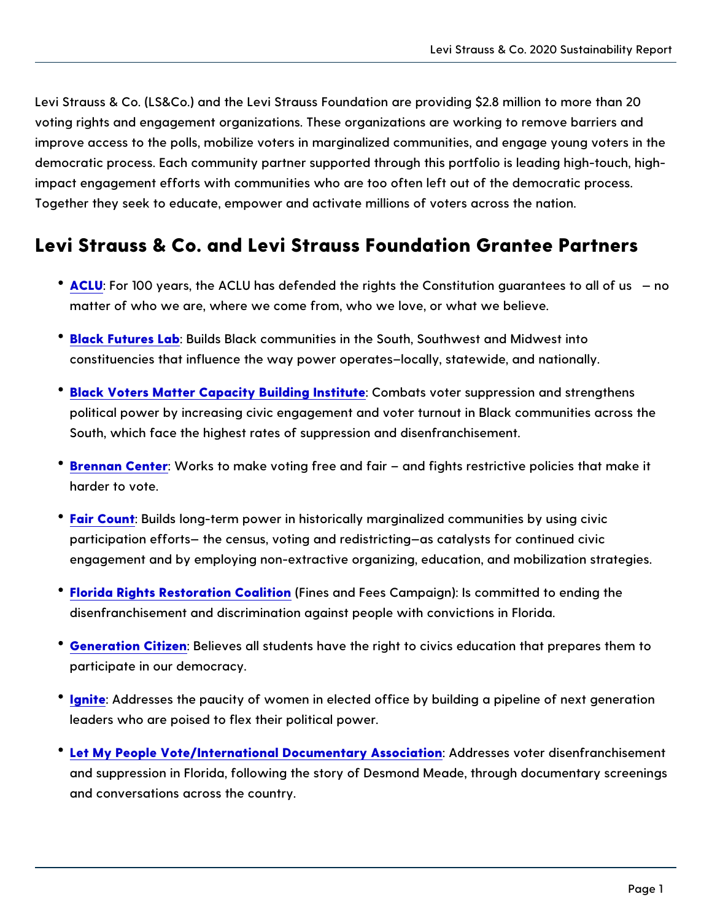Levi Strauss & Co. (LS&Co.) and the Levi Strauss Foundation are providin voting rights and engagement organizations. These organizations are work improve access to the polls, mobilize voters in marginalized communities, democratic process. Each community partner supported through this portfo impact engagement efforts with communities who are too often left out of Together they seek to educate, empower and activate millions of voters ad

Levi Strauss & Co. and Levi Strauss Foundation G

- \* [ACL](https://www.aclu.org/):UFor 100 years, the ACLU has defended the rights the Constitution matter of who we are, where we come from, who we love, or what we b
- <sup>.</sup> [Black Future](https://blackfutureslab.org/)s Buabds Black communities in the South, Southwest and M constituencies that influence the way power operates locally, statewid
- $\texttt{`Black Voters Matter Capacity Build \textbf{Ciom black}}$  $\texttt{`Black Voters Matter Capacity Build \textbf{Ciom black}}$  $\texttt{`Black Voters Matter Capacity Build \textbf{Ciom black}}$ political power by increasing civic engagement and voter turnout in BI South, which face the highest rates of suppression and disenfranchise
- **[Brennan Ce](https://www.brennancenter.org/)nWegrks to make voting free and fair and fights restrictive** harder to vote.
- $\bullet$  [Fair Co](https://www.faircount.org/)unBtuilds long-term power in historically marginalized communiti participation efforts the census, voting and redistricting as catalysts engagement and by employing non-extractive organizing, education, and mobilization strategies.
- $\bullet$  [Florida Rights Restorati](https://wegotthevote.org/finesandfees/)on F $\alpha$ nceasliatinoch Fees Campaign): Is committed to disenfranchisement and discrimination against people with convictions
- <sup>.</sup> [Generation C](https://generationcitizen.org/)itBzeelneves all students have the right to civics education participate in our democracy.
- [Igni](https://www.ignitenational.org/vote)te Addresses the paucity of women in elected office by building a p leaders who are poised to flex their political power.
- $\textcolor{red}{\bullet}$  [Let My People Vote/International Docume](https://www.letmypeoplevotemovie.com/)n#addoyr**esses** inaoitoen disenfranch and suppression in Florida, following the story of Desmond Meade, thr and conversations across the country.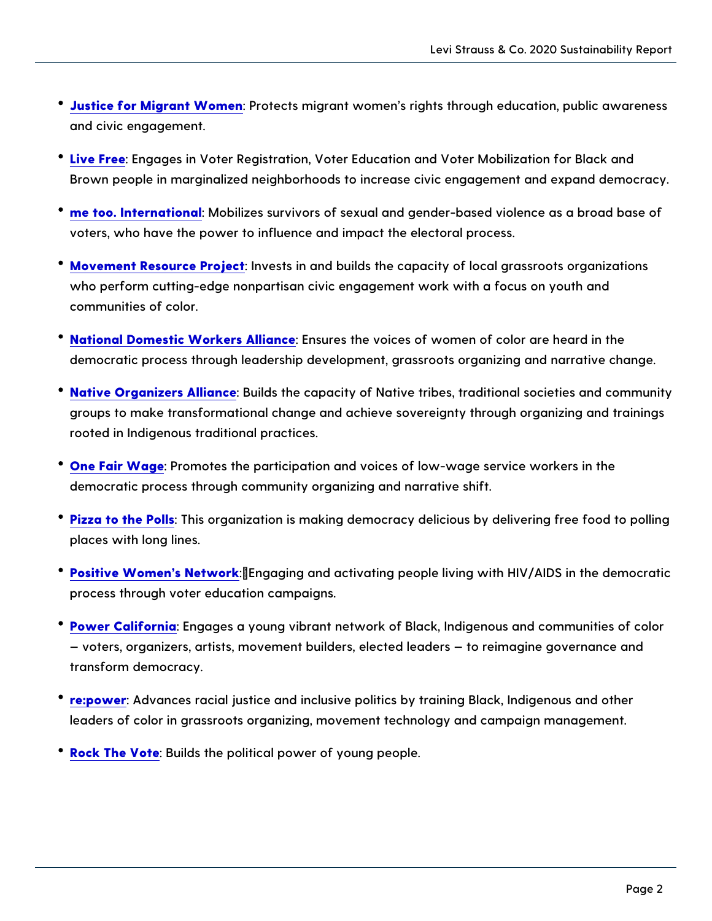- · [Justice for Migrant](https://justice4women.org/): WPcrotects migrant women s rights through educatio and civic engagement.
- [Live F](http://www.livefreeusa.org/)reengages in Voter Registration, Voter Education and Voter Mob Brown people in marginalized neighborhoods to increase civic engager
- $^{\bullet}$  [me too. Interna](https://metoomvmt.org/)t Moobaillizes survivors of sexual and gender-based violen voters, who have the power to influence and impact the electoral proc
- $\degree$  [Movement Resource](https://movement.vote/) PPnojecsats in and builds the capacity of local grassr who perform cutting-edge nonpartisan civic engagement work with a fo communities of color.
- \* [National Domestic Worke](https://www.domesticworkers.org/)rs EA bluance the voices of women of color are he democratic process through leadership development, grassroots organ
- \* [Native Organizers](http://nativeorganizing.org/) A Bluandcse the capacity of Native tribes, traditional so groups to make transformational change and achieve sovereignty throu rooted in Indigenous traditional practices.
- [One Fair W](https://onefairwage.com/)aRe motes the participation and voices of low-wage service democratic process through community organizing and narrative shift.
- [Pizza to the](https://polls.pizza/) Funliss organization is making democracy delicious by deliv places with long lines.
- [Positive Women s](https://www.pwn-usa.org/) Nettagaging and activating people living with HIV/AII process through voter education campaigns.
- [Power Calif](https://powercalifornia.org/)or Enagages a young vibrant network of Black, Indigenous an voters, organizers, artists, movement builders, elected leaders to transform democracy.
- $\degree$  [re:pow](https://repower.org/)eAdvances racial justice and inclusive politics by training Black leaders of color in grassroots organizing, movement technology and ca
- $\texttt{? Rock The V@tteilds the political power of young people.}$  $\texttt{? Rock The V@tteilds the political power of young people.}$  $\texttt{? Rock The V@tteilds the political power of young people.}$